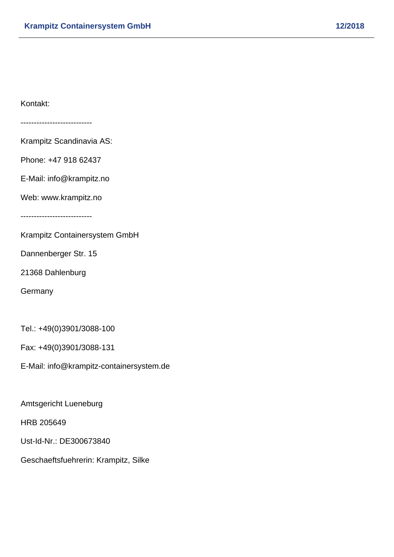Kontakt:

---------------------------

Krampitz Scandinavia AS:

Phone: +47 918 62437

E-Mail: info@krampitz.no

Web: www.krampitz.no

---------------------------

Krampitz Containersystem GmbH

Dannenberger Str. 15

21368 Dahlenburg

**Germany** 

Tel.: +49(0)3901/3088-100

Fax: +49(0)3901/3088-131

E-Mail: info@krampitz-containersystem.de

Amtsgericht Lueneburg

HRB 205649

Ust-Id-Nr.: DE300673840

Geschaeftsfuehrerin: Krampitz, Silke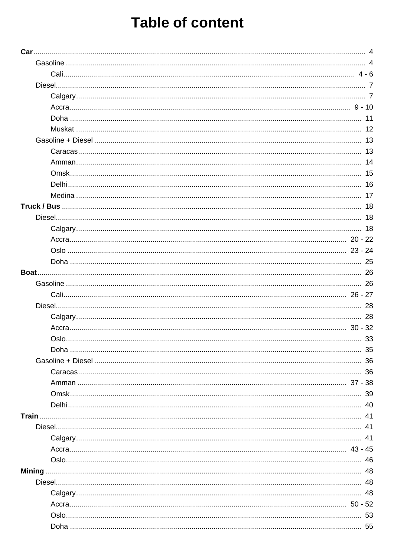|       | 11 |
|-------|----|
|       | 12 |
|       | 13 |
|       |    |
|       |    |
|       | 15 |
|       |    |
|       |    |
|       |    |
|       |    |
|       | 18 |
|       |    |
|       |    |
|       |    |
|       |    |
|       | 26 |
|       |    |
|       |    |
|       |    |
|       |    |
|       |    |
|       | 35 |
|       |    |
|       |    |
|       |    |
|       |    |
|       |    |
| Train |    |
|       |    |
|       |    |
|       |    |
|       |    |
|       |    |
|       |    |
|       |    |
|       |    |
|       |    |
|       |    |
|       |    |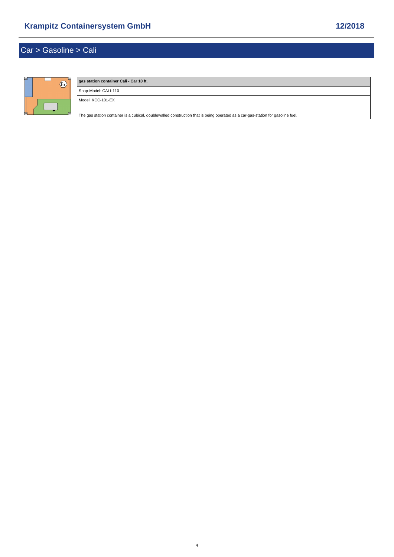# <span id="page-3-0"></span>Car > Gasoline > Cali



# **gas station container Cali - Car 10 ft.** Shop-Model: CALI-110 Model: KCC-101-EX [The gas station container is a cubical, doublewalled construction that is being operated as a car-gas-station for gasoline fuel.](https://www.mobile-gas-station.com/Car/Gasoline/Cali/gas-station-container-Cali-Car-10-ft::11.html)

4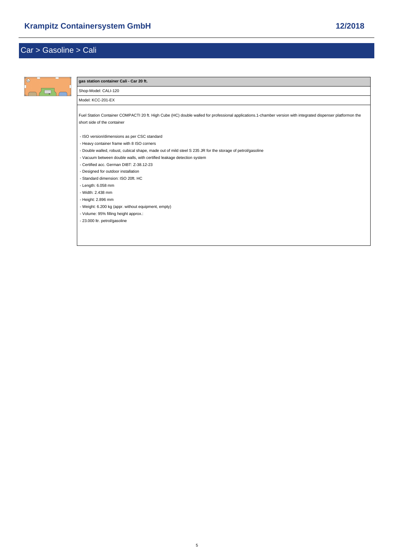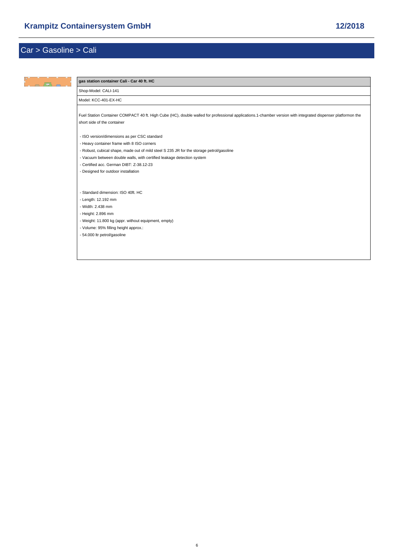| Shop-Model: CALI-141<br>Model: KCC-401-EX-HC<br>Fuel Station Container COMPACT 40 ft. High Cube (HC), double walled for professional applications.1-chamber version with integrated dispenser platformon the<br>short side of the container |  |
|---------------------------------------------------------------------------------------------------------------------------------------------------------------------------------------------------------------------------------------------|--|
|                                                                                                                                                                                                                                             |  |
|                                                                                                                                                                                                                                             |  |
|                                                                                                                                                                                                                                             |  |
| - ISO version/dimensions as per CSC standard                                                                                                                                                                                                |  |
| - Heavy container frame with 8 ISO corners                                                                                                                                                                                                  |  |
| - Robust, cubical shape, made out of mild steel S 235 JR for the storage petrol/gasoline                                                                                                                                                    |  |
| - Vacuum between double walls, with certified leakage detection system                                                                                                                                                                      |  |
| - Certified acc. German DIBT: Z-38.12-23                                                                                                                                                                                                    |  |
| - Designed for outdoor installation                                                                                                                                                                                                         |  |
|                                                                                                                                                                                                                                             |  |
| - Standard dimension: ISO 40ft. HC                                                                                                                                                                                                          |  |
| - Length: 12.192 mm                                                                                                                                                                                                                         |  |
| - Width: 2.438 mm                                                                                                                                                                                                                           |  |
| - Height: 2.896 mm                                                                                                                                                                                                                          |  |
| - Weight: 11.800 kg (appr. without equipment, empty)                                                                                                                                                                                        |  |
| - Volume: 95% filling height approx.:                                                                                                                                                                                                       |  |
| - 54.000 ltr petrol/gasoline                                                                                                                                                                                                                |  |
|                                                                                                                                                                                                                                             |  |
|                                                                                                                                                                                                                                             |  |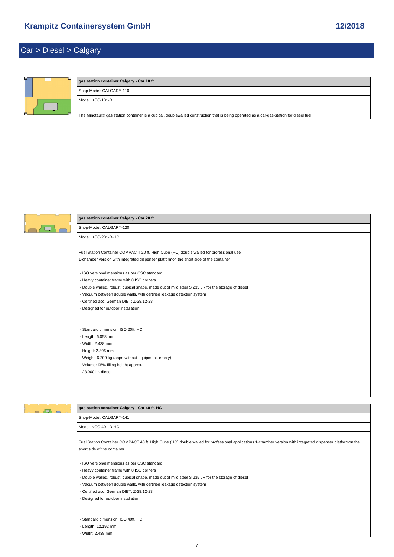## <span id="page-6-0"></span>Car > Diesel > Calgary



## **gas station container Calgary - Car 10 ft.** Shop-Model: CALGARY-110 Model: KCC-101-D

[The Minotaur® gas station container is a cubical, doublewalled construction that is being operated as a car-gas-station for diesel fuel.](https://www.mobile-gas-station.com/Car/Diesel/Calgary/gas-station-container-Calgary-Car-10-ft::14.html)



### **gas station container Calgary - Car 20 ft.**

Shop-Model: CALGARY-120 Model: KCC-201-D-HC

[Fuel Station Container COMPACTI 20 ft. High Cube \(HC\) double walled for professional use](https://www.mobile-gas-station.com/Car/Diesel/Calgary/gas-station-container-Calgary-Car-20-ft::4.html) 1-chamber version with integrated dispenser platformon the short side of the container

- ISO version/dimensions as per CSC standard
- Heavy container frame with 8 ISO corners
- Double walled, robust, cubical shape, made out of mild steel S 235 JR for the storage of diesel
- Vacuum between double walls, with certified leakage detection system
- Certified acc. German DIBT: Z-38.12-23
- Designed for outdoor installation
- Standard dimension: ISO 20ft. HC
- Length: 6.058 mm
- Width: 2.438 mm
- Height: 2.896 mm
- Weight: 6.200 kg (appr. without equipment, empty)
- Volume: 95% filling height approx.:
- 23.000 ltr. diesel



#### **gas station container Calgary - Car 40 ft. HC**

Shop-Model: CALGARY-141

Model: KCC-401-D-HC

[Fuel Station Container COMPACT 40 ft. High Cube \(HC\) double walled for professional applications.1-chamber version with integrated dispenser platformon](https://www.mobile-gas-station.com/Car/Diesel/Calgary/gas-station-container-Calgary-Car-40-ft-HC::6.html) the short side of the container

- ISO version/dimensions as per CSC standard
- Heavy container frame with 8 ISO corners
- Double walled, robust, cubical shape, made out of mild steel S 235 JR for the storage of diesel
- Vacuum between double walls, with certified leakage detection system
- Certified acc. German DIBT: Z-38.12-23
- Designed for outdoor installation
- Standard dimension: ISO 40ft. HC
- Length: 12.192 mm

- Width: 2.438 mm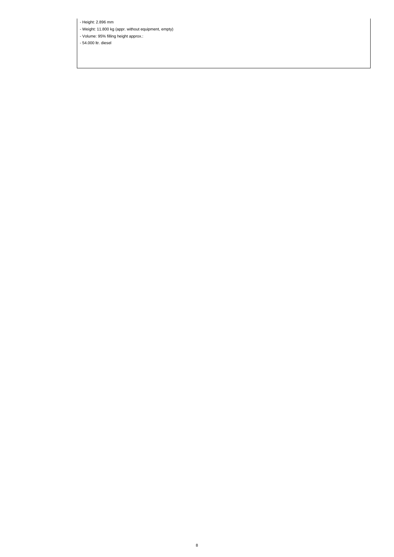- Height: 2.896 mm

- Weight: 11.800 kg (appr. without equipment, empty)

- Volume: 95% filling height approx.:

- 54.000 ltr. diesel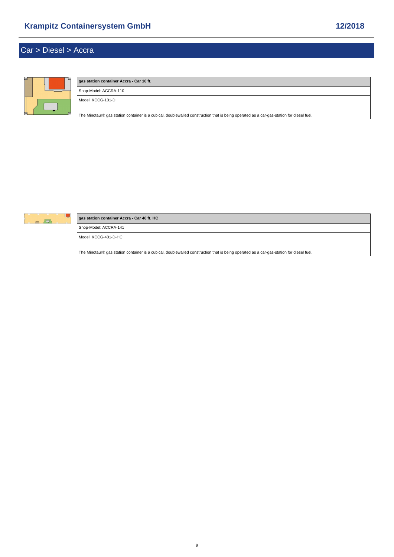## <span id="page-8-0"></span>Car > Diesel > Accra



# **gas station container Accra - Car 10 ft.** Shop-Model: ACCRA-110 Model: KCCG-101-D [The Minotaur® gas station container is a cubical, doublewalled construction that is being operated as a car-gas-station for diesel fuel.](https://www.mobile-gas-station.com/Car/Diesel/Accra/gas-station-container-Accra-Car-10-ft::17.html)

 $\begin{array}{c} \n\bullet & \n\end{array}$ 

### **gas station container Accra - Car 40 ft. HC**

Shop-Model: ACCRA-141

Model: KCCG-401-D-HC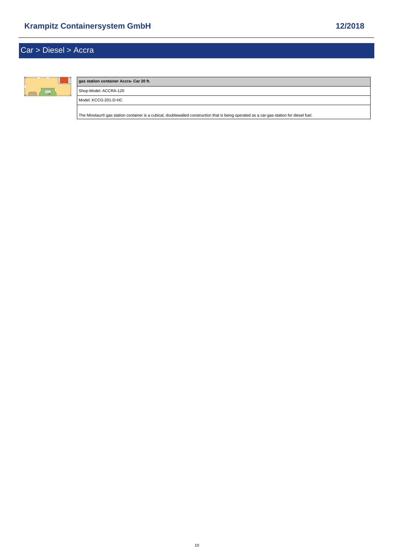## Car > Diesel > Accra



### **gas station container Accra- Car 20 ft.** Shop-Model: ACCRA-120 Model: KCCG-201-D-HC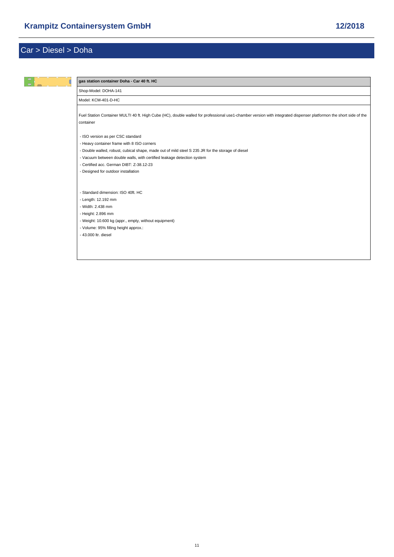<span id="page-10-0"></span>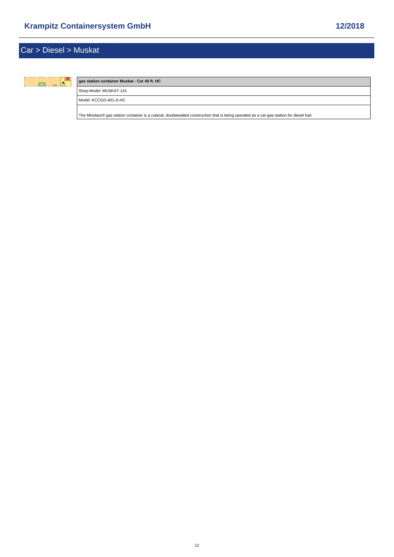<span id="page-11-0"></span>

#### **gas station container Muskat - Car 40 ft. HC**

Shop-Model: MUSKAT-141

Model: KCCGO-401-D-HC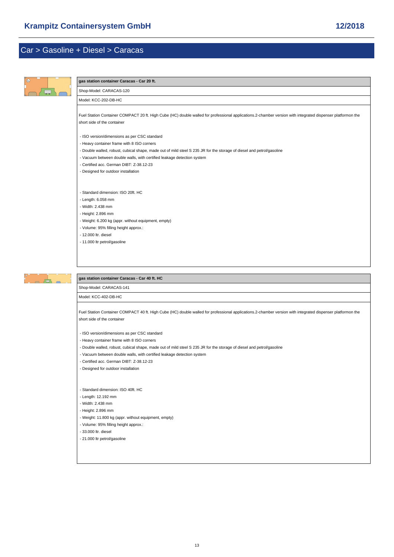<span id="page-12-0"></span>

| $\circledcirc$          | gas station container Caracas - Car 20 ft.                                                                                                                                                                                                                                                                                                                                       |  |  |
|-------------------------|----------------------------------------------------------------------------------------------------------------------------------------------------------------------------------------------------------------------------------------------------------------------------------------------------------------------------------------------------------------------------------|--|--|
|                         | Shop-Model: CARACAS-120                                                                                                                                                                                                                                                                                                                                                          |  |  |
|                         | Model: KCC-202-DB-HC                                                                                                                                                                                                                                                                                                                                                             |  |  |
|                         | Fuel Station Container COMPACT 20 ft. High Cube (HC) double walled for professional applications.2-chamber version with integrated dispenser platformon the<br>short side of the container                                                                                                                                                                                       |  |  |
|                         | - ISO version/dimensions as per CSC standard<br>- Heavy container frame with 8 ISO corners<br>- Double walled, robust, cubical shape, made out of mild steel S 235 JR for the storage of diesel and petrol/gasoline<br>- Vacuum between double walls, with certified leakage detection system<br>- Certified acc. German DIBT: Z-38.12-23                                        |  |  |
|                         | - Designed for outdoor installation                                                                                                                                                                                                                                                                                                                                              |  |  |
|                         | - Standard dimension: ISO 20ft. HC<br>- Length: 6.058 mm<br>- Width: 2.438 mm<br>- Height: 2.896 mm<br>- Weight: 6.200 kg (appr. without equipment, empty)<br>- Volume: 95% filling height approx.:<br>- 12.000 ltr. diesel<br>- 11.000 ltr petrol/gasoline                                                                                                                      |  |  |
|                         | gas station container Caracas - Car 40 ft. HC                                                                                                                                                                                                                                                                                                                                    |  |  |
| Shop-Model: CARACAS-141 |                                                                                                                                                                                                                                                                                                                                                                                  |  |  |
|                         | Model: KCC-402-DB-HC                                                                                                                                                                                                                                                                                                                                                             |  |  |
|                         | Fuel Station Container COMPACT 40 ft. High Cube (HC) double walled for professional applications.2-chamber version with integrated dispenser platformon the<br>short side of the container                                                                                                                                                                                       |  |  |
|                         | - ISO version/dimensions as per CSC standard<br>- Heavy container frame with 8 ISO corners<br>- Double walled, robust, cubical shape, made out of mild steel S 235 JR for the storage of diesel and petrol/gasoline<br>- Vacuum between double walls, with certified leakage detection system<br>- Certified acc. German DIBT: Z-38.12-23<br>- Designed for outdoor installation |  |  |
|                         | - Standard dimension: ISO 40ft. HC<br>- Length: 12.192 mm<br>- Width: 2.438 mm<br>- Height: 2.896 mm<br>- Weight: 11.800 kg (appr. without equipment, empty)<br>- Volume: 95% filling height approx.:<br>- 33.000 ltr. diesel                                                                                                                                                    |  |  |

- 21.000 ltr petrol/gasoline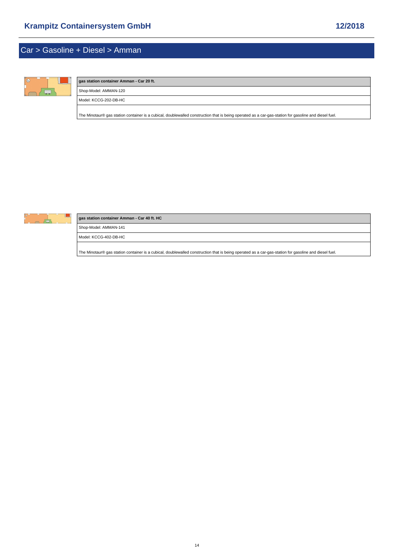## <span id="page-13-0"></span>Car > Gasoline + Diesel > Amman



# **gas station container Amman - Car 20 ft.** Shop-Model: AMMAN-120 Model: KCCG-202-DB-HC [The Minotaur® gas station container is a cubical, doublewalled construction that is being operated as a car-gas-station for gasoline and diesel fuel.](https://www.mobile-gas-station.com/Car/Gasoline-Diesel/Amman/gas-station-container-Amman-Car-20-ft::22.html)



### **gas station container Amman - Car 40 ft. HC**

Shop-Model: AMMAN-141

Model: KCCG-402-DB-HC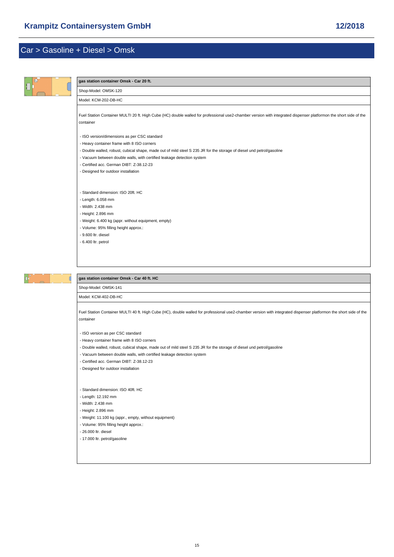<span id="page-14-0"></span>

| $^{\circ}$ | gas station container Omsk - Car 20 ft.                                                                                                                                                                                                                                                                                                                                          |
|------------|----------------------------------------------------------------------------------------------------------------------------------------------------------------------------------------------------------------------------------------------------------------------------------------------------------------------------------------------------------------------------------|
|            | Shop-Model: OMSK-120                                                                                                                                                                                                                                                                                                                                                             |
|            | Model: KCM-202-DB-HC                                                                                                                                                                                                                                                                                                                                                             |
|            | Fuel Station Container MULTI 20 ft. High Cube (HC) double walled for professional use2-chamber version with integrated dispenser platformon the short side of the<br>container                                                                                                                                                                                                   |
|            | - ISO version/dimensions as per CSC standard<br>- Heavy container frame with 8 ISO corners<br>- Double walled, robust, cubical shape, made out of mild steel S 235 JR for the storage of diesel und petrol/gasoline<br>- Vacuum between double walls, with certified leakage detection system<br>- Certified acc. German DIBT: Z-38.12-23<br>- Designed for outdoor installation |
|            | - Standard dimension: ISO 20ft. HC<br>- Length: 6.058 mm<br>- Width: 2.438 mm<br>- Height: 2.896 mm<br>- Weight: 6.400 kg (appr. without equipment, empty)<br>- Volume: 95% filling height approx.:<br>- 9.600 ltr. diesel<br>$-6.400$ ltr. petrol                                                                                                                               |
|            |                                                                                                                                                                                                                                                                                                                                                                                  |
|            | gas station container Omsk - Car 40 ft. HC                                                                                                                                                                                                                                                                                                                                       |
|            | Shop-Model: OMSK-141                                                                                                                                                                                                                                                                                                                                                             |
|            | Model: KCM-402-DB-HC                                                                                                                                                                                                                                                                                                                                                             |
|            | Fuel Station Container MULTI 40 ft. High Cube (HC), double walled for professional use2-chamber version with integrated dispenser platformon the short side of the<br>container                                                                                                                                                                                                  |
|            | - ISO version as per CSC standard<br>- Heavy container frame with 8 ISO corners<br>- Double walled, robust, cubical shape, made out of mild steel S 235 JR for the storage of diesel und petrol/gasoline<br>- Vacuum between double walls, with certified leakage detection system<br>- Certified acc. German DIBT: Z-38.12-23<br>- Designed for outdoor installation            |

- Standard dimension: ISO 40ft. HC

- Length: 12.192 mm

- Width: 2.438 mm

- Height: 2.896 mm

- Weight: 11.100 kg (appr., empty, without equipment)

- Volume: 95% filling height approx.:

- 26.000 ltr. diesel

- 17.000 ltr. petrol/gasoline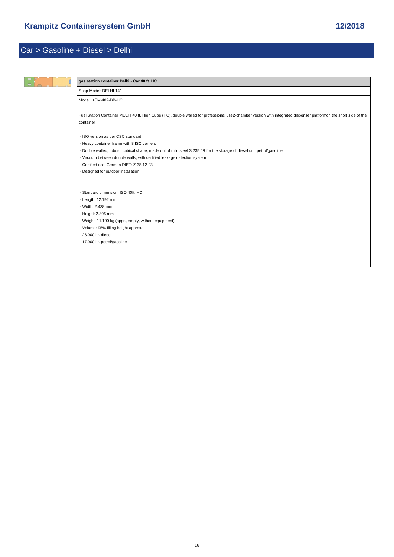<span id="page-15-0"></span>

| gas station container Delhi - Car 40 ft. HC                                                                                                                                     |
|---------------------------------------------------------------------------------------------------------------------------------------------------------------------------------|
| Shop-Model: DELHI-141                                                                                                                                                           |
| Model: KCM-402-DB-HC                                                                                                                                                            |
| Fuel Station Container MULTI 40 ft. High Cube (HC), double walled for professional use2-chamber version with integrated dispenser platformon the short side of the<br>container |
| - ISO version as per CSC standard                                                                                                                                               |
| - Heavy container frame with 8 ISO corners                                                                                                                                      |
| - Double walled, robust, cubical shape, made out of mild steel S 235 JR for the storage of diesel und petrol/gasoline                                                           |
| - Vacuum between double walls, with certified leakage detection system                                                                                                          |
| - Certified acc. German DIBT: Z-38.12-23                                                                                                                                        |
| - Designed for outdoor installation                                                                                                                                             |
|                                                                                                                                                                                 |
| - Standard dimension: ISO 40ft. HC                                                                                                                                              |
| - Length: 12.192 mm                                                                                                                                                             |
| - Width: 2.438 mm                                                                                                                                                               |
| - Height: 2.896 mm                                                                                                                                                              |
| - Weight: 11.100 kg (appr., empty, without equipment)                                                                                                                           |
| - Volume: 95% filling height approx.:                                                                                                                                           |
| - 26,000 ltr. diesel                                                                                                                                                            |
| - 17.000 ltr. petrol/gasoline                                                                                                                                                   |
|                                                                                                                                                                                 |
|                                                                                                                                                                                 |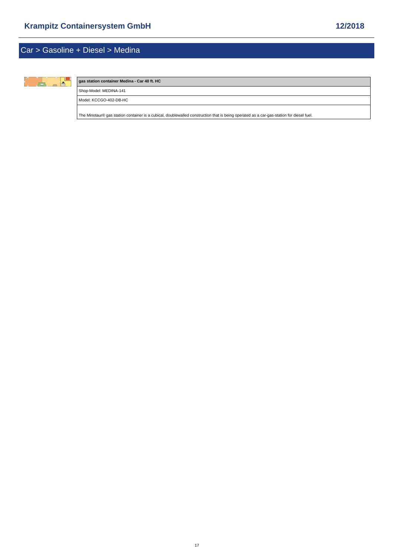<span id="page-16-0"></span>

#### **gas station container Medina - Car 40 ft. HC**

Shop-Model: MEDINA-141

Model: KCCGO-402-DB-HC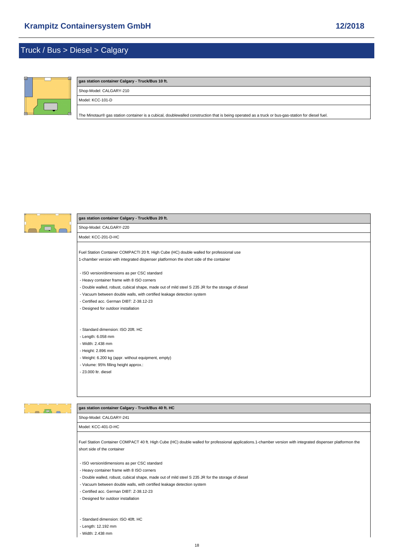## <span id="page-17-0"></span>Truck / Bus > Diesel > Calgary



### **gas station container Calgary - Truck/Bus 10 ft.**

Shop-Model: CALGARY-210

Model: KCC-101-D

[The Minotaur® gas station container is a cubical, doublewalled construction that is being operated as a truck or bus-gas-station for diesel fuel.](https://www.mobile-gas-station.com/Truck-Bus/Diesel/Calgary/gas-station-container-Calgary-Truck-Bus-10-ft::44.html)



#### **gas station container Calgary - Truck/Bus 20 ft.**

Shop-Model: CALGARY-220 Model: KCC-201-D-HC

[Fuel Station Container COMPACTI 20 ft. High Cube \(HC\) double walled for professional use](https://www.mobile-gas-station.com/Truck-Bus/Diesel/Calgary/gas-station-container-Calgary-Truck-Bus-20-ft::45.html) 1-chamber version with integrated dispenser platformon the short side of the container

- ISO version/dimensions as per CSC standard

- Heavy container frame with 8 ISO corners
- Double walled, robust, cubical shape, made out of mild steel S 235 JR for the storage of diesel
- Vacuum between double walls, with certified leakage detection system
- Certified acc. German DIBT: Z-38.12-23
- Designed for outdoor installation

- Standard dimension: ISO 20ft. HC

- Length: 6.058 mm
- Width: 2.438 mm
- Height: 2.896 mm
- Weight: 6.200 kg (appr. without equipment, empty)
- Volume: 95% filling height approx.:

- 23.000 ltr. diesel

### $\overline{P}$

#### **gas station container Calgary - Truck/Bus 40 ft. HC**

Shop-Model: CALGARY-241

Model: KCC-401-D-HC

[Fuel Station Container COMPACT 40 ft. High Cube \(HC\) double walled for professional applications.1-chamber version with integrated dispenser platformon](https://www.mobile-gas-station.com/Truck-Bus/Diesel/Calgary/gas-station-container-Calgary-Truck-Bus-40-ft-HC::47.html) the short side of the container

- ISO version/dimensions as per CSC standard
- Heavy container frame with 8 ISO corners
- Double walled, robust, cubical shape, made out of mild steel S 235 JR for the storage of diesel
- Vacuum between double walls, with certified leakage detection system
- Certified acc. German DIBT: Z-38.12-23
- Designed for outdoor installation
- Standard dimension: ISO 40ft. HC
- Length: 12.192 mm
- Width: 2.438 mm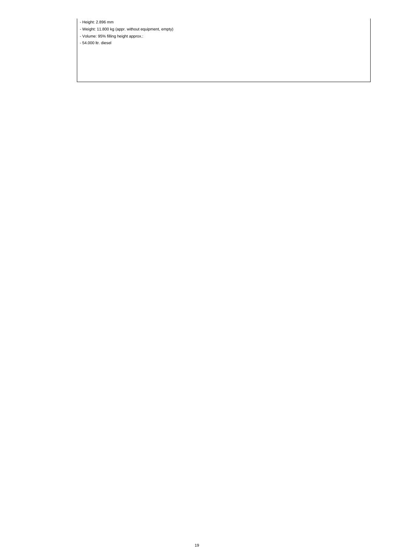- Height: 2.896 mm

- Weight: 11.800 kg (appr. without equipment, empty)

- Volume: 95% filling height approx.:

- 54.000 ltr. diesel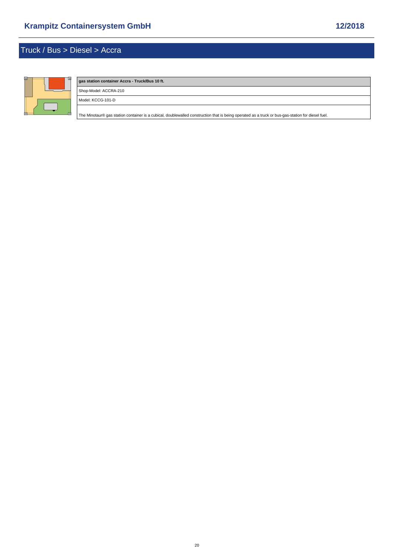<span id="page-19-0"></span>

# **gas station container Accra - Truck/Bus 10 ft.** Shop-Model: ACCRA-210 Model: KCCG-101-D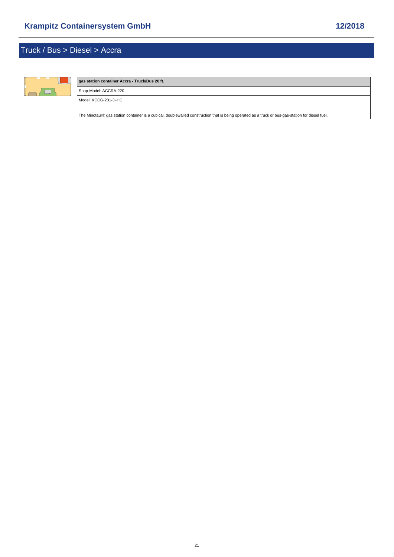

## **gas station container Accra - Truck/Bus 20 ft.** Shop-Model: ACCRA-220 Model: KCCG-201-D-HC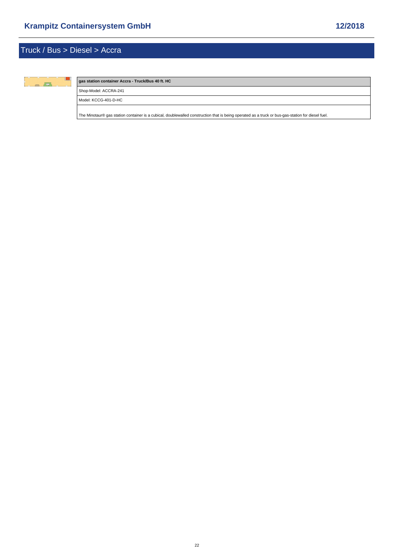

#### **gas station container Accra - Truck/Bus 40 ft. HC**

Shop-Model: ACCRA-241

Model: KCCG-401-D-HC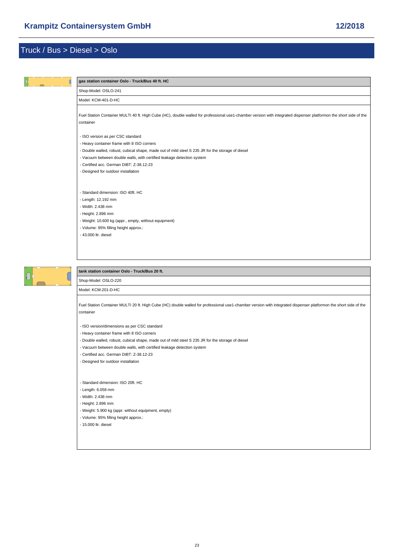<span id="page-22-0"></span>

Model: KCM-201-D-HC

[Fuel Station Container MULTI 20 ft. High Cube \(HC\) double walled for professional use1-chamber version with integrated dispenser platformon the short sid](https://www.mobile-gas-station.com/Truck-Bus/Diesel/Oslo/tank-station-container-Oslo-Truck-Bus-20-ft::53.html)e of the container

- ISO version/dimensions as per CSC standard

- Heavy container frame with 8 ISO corners

- Double walled, robust, cubical shape, made out of mild steel S 235 JR for the storage of diesel

- Vacuum between double walls, with certified leakage detection system

- Certified acc. German DIBT: Z-38.12-23

- Designed for outdoor installation

- Standard dimension: ISO 20ft. HC

- Length: 6.058 mm

- Width: 2.438 mm

- Height: 2.896 mm

- Weight: 5.900 kg (appr. without equipment, empty)

- Volume: 95% filling height approx.:

- 15.000 ltr. diesel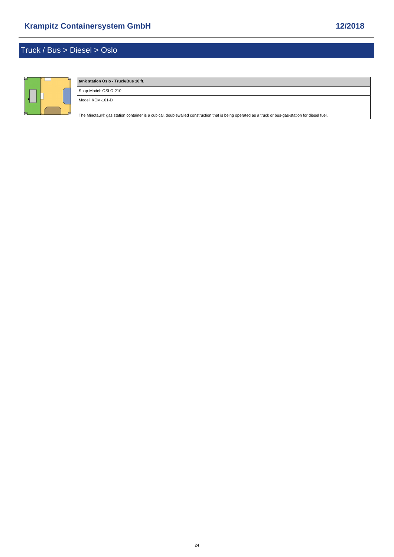

### **tank station Oslo - Truck/Bus 10 ft.** Shop-Model: OSLO-210

Model: KCM-101-D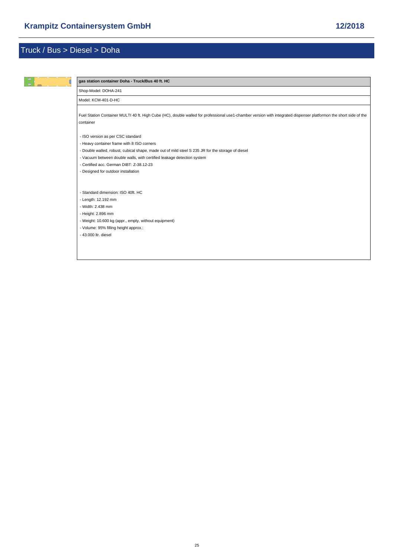<span id="page-24-0"></span>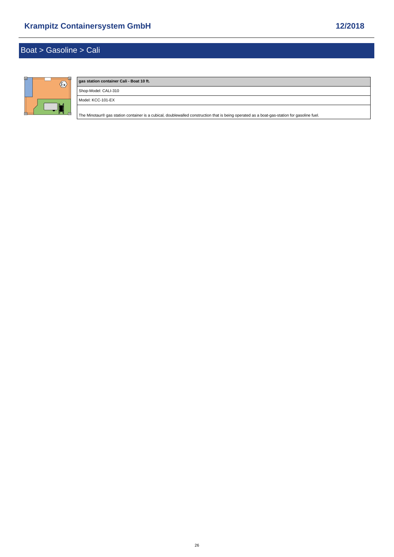# <span id="page-25-0"></span>Boat > Gasoline > Cali



| gas station container Cali - Boat 10 ft.                                                                                                    |  |
|---------------------------------------------------------------------------------------------------------------------------------------------|--|
| Shop-Model: CALI-310                                                                                                                        |  |
| Model: KCC-101-EX                                                                                                                           |  |
| The Minotaur® gas station container is a cubical, doublewalled construction that is being operated as a boat-gas-station for gasoline fuel. |  |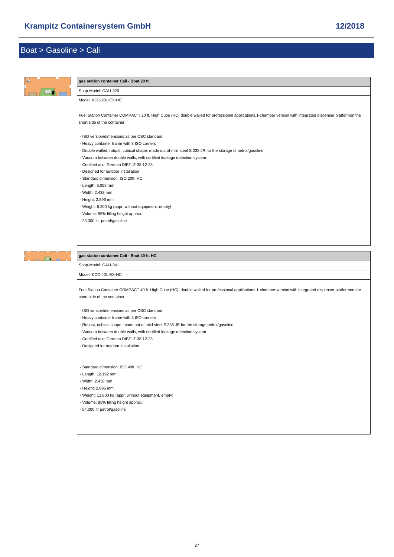

- Vacuum between double walls, with certified leakage detection system
- Certified acc. German DIBT: Z-38.12-23

- Designed for outdoor installation

- Standard dimension: ISO 40ft. HC

- Length: 12.192 mm

- Width: 2.438 mm

- Height: 2.896 mm

- Weight: 11.800 kg (appr. without equipment, empty)

- Volume: 95% filling height approx.:

- 54.000 ltr petrol/gasoline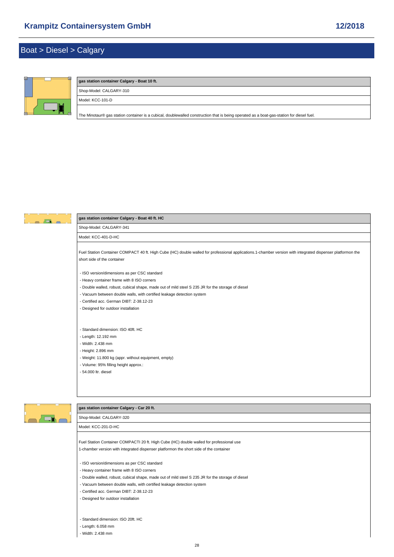### <span id="page-27-0"></span>Boat > Diesel > Calgary



| gas station container Calgary - Boat 10 ft.                                                                                               |
|-------------------------------------------------------------------------------------------------------------------------------------------|
| Shop-Model: CALGARY-310                                                                                                                   |
| Model: KCC-101-D                                                                                                                          |
| The Minotaur® gas station container is a cubical, doublewalled construction that is being operated as a boat-gas-station for diesel fuel. |



 $\begin{array}{c|c|c|c|c} \hline \multicolumn{1}{c|}{\mathbf{A}} & \multicolumn{1}{c|}{\mathbf{A}} & \multicolumn{1}{c|}{\mathbf{A}} \end{array}$ 

### **gas station container Calgary - Boat 40 ft. HC**

Shop-Model: CALGARY-341

Model: KCC-401-D-HC

[Fuel Station Container COMPACT 40 ft. High Cube \(HC\) double walled for professional applications.1-chamber version with integrated dispenser platformon](https://www.mobile-gas-station.com/Boat/Diesel/Calgary/gas-station-container-Calgary-Boat-40-ft-HC::67.html) the short side of the container

- ISO version/dimensions as per CSC standard

- Heavy container frame with 8 ISO corners
- Double walled, robust, cubical shape, made out of mild steel S 235 JR for the storage of diesel
- Vacuum between double walls, with certified leakage detection system

- Certified acc. German DIBT: Z-38.12-23

- Designed for outdoor installation

- Standard dimension: ISO 40ft. HC

- Length: 12.192 mm

- Width: 2.438 mm

- Height: 2.896 mm
- Weight: 11.800 kg (appr. without equipment, empty)
- Volume: 95% filling height approx.:

- 54.000 ltr. diesel



### **gas station container Calgary - Car 20 ft.**

Shop-Model: CALGARY-320

Model: KCC-201-D-HC

[Fuel Station Container COMPACTI 20 ft. High Cube \(HC\) double walled for professional use](https://www.mobile-gas-station.com/Boat/Diesel/Calgary/gas-station-container-Calgary-Car-20-ft::65.html)

1-chamber version with integrated dispenser platformon the short side of the container

- ISO version/dimensions as per CSC standard
- Heavy container frame with 8 ISO corners
- Double walled, robust, cubical shape, made out of mild steel S 235 JR for the storage of diesel
- Vacuum between double walls, with certified leakage detection system
- Certified acc. German DIBT: Z-38.12-23
- Designed for outdoor installation
- Standard dimension: ISO 20ft. HC
- Length: 6.058 mm
- Width: 2.438 mm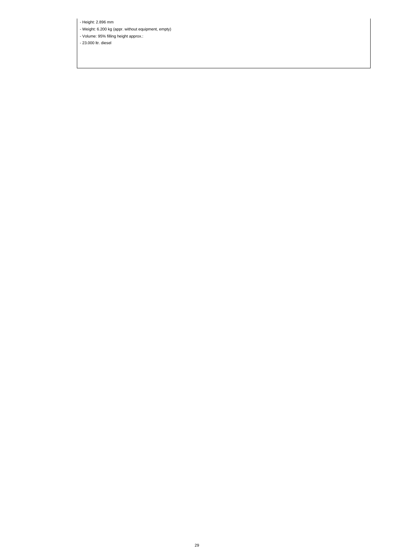- Height: 2.896 mm

- Weight: 6.200 kg (appr. without equipment, empty)

- Volume: 95% filling height approx.:

- 23.000 ltr. diesel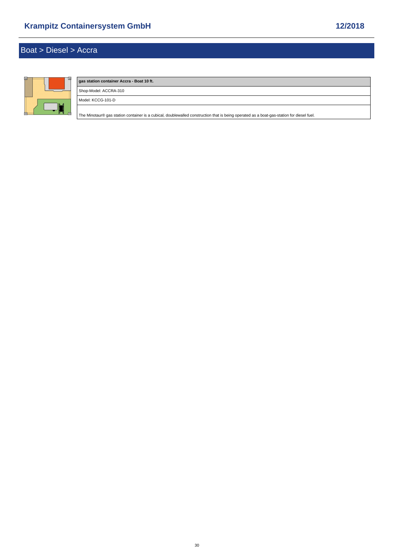<span id="page-29-0"></span>

# **gas station container Accra - Boat 10 ft.** Shop-Model: ACCRA-310 Model: KCCG-101-D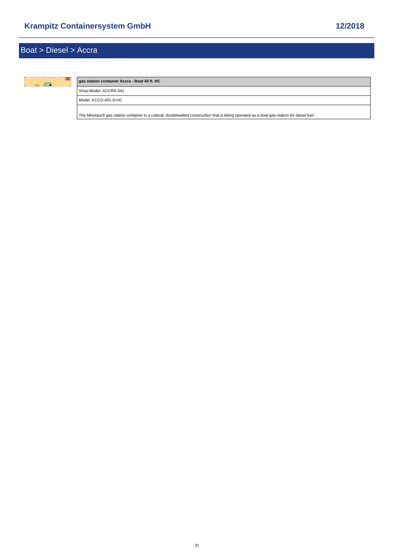

### **gas station container Accra - Boat 40 ft. HC**

Shop-Model: ACCRA-341

Model: KCCG-401-D-HC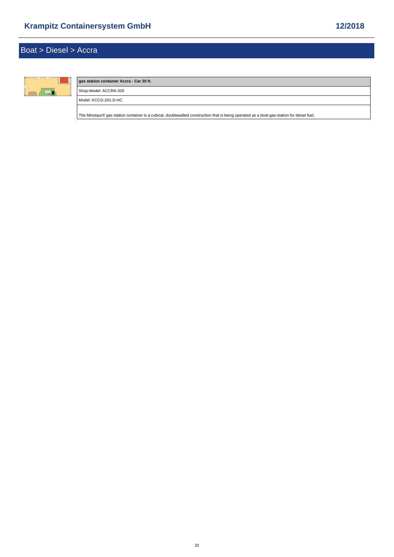# Boat > Diesel > Accra



# **gas station container Accra - Car 20 ft.** Shop-Model: ACCRA-320 Model: KCCG-201-D-HC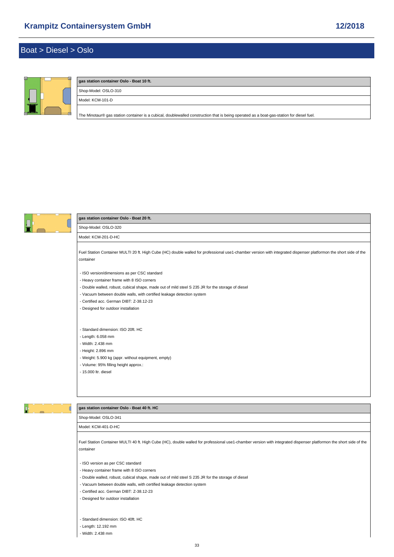### <span id="page-32-0"></span>Boat > Diesel > Oslo



### **gas station container Oslo - Boat 10 ft.** Shop-Model: OSLO-310

Model: KCM-101-D

[The Minotaur® gas station container is a cubical, doublewalled construction that is being operated as a boat-gas-station for diesel fuel.](https://www.mobile-gas-station.com/Boat/Diesel/Oslo/gas-station-container-Oslo-Boat-10-ft::82.html)



### **gas station container Oslo - Boat 20 ft.**

Shop-Model: OSLO-320 Model: KCM-201-D-HC

[Fuel Station Container MULTI 20 ft. High Cube \(HC\) double walled for professional use1-chamber version with integrated dispenser platformon the short sid](https://www.mobile-gas-station.com/Boat/Diesel/Oslo/gas-station-container-Oslo-Boat-20-ft::83.html)e of the container

- ISO version/dimensions as per CSC standard

- Heavy container frame with 8 ISO corners
- Double walled, robust, cubical shape, made out of mild steel S 235 JR for the storage of diesel
- Vacuum between double walls, with certified leakage detection system
- Certified acc. German DIBT: Z-38.12-23
- Designed for outdoor installation

- Standard dimension: ISO 20ft. HC

- Length: 6.058 mm
- Width: 2.438 mm
- Height: 2.896 mm
- Weight: 5.900 kg (appr. without equipment, empty)
- Volume: 95% filling height approx.:
- 15.000 ltr. diesel



#### **gas station container Oslo - Boat 40 ft. HC**

Shop-Model: OSLO-341

Model: KCM-401-D-HC

[Fuel Station Container MULTI 40 ft. High Cube \(HC\), double walled for professional use1-chamber version with integrated dispenser platformon the short sid](https://www.mobile-gas-station.com/Boat/Diesel/Oslo/gas-station-container-Oslo-Boat-40-ft-HC::85.html)e of the container

- ISO version as per CSC standard

- Heavy container frame with 8 ISO corners
- Double walled, robust, cubical shape, made out of mild steel S 235 JR for the storage of diesel
- Vacuum between double walls, with certified leakage detection system
- Certified acc. German DIBT: Z-38.12-23
- Designed for outdoor installation
- Standard dimension: ISO 40ft. HC
- Length: 12.192 mm
- Width: 2.438 mm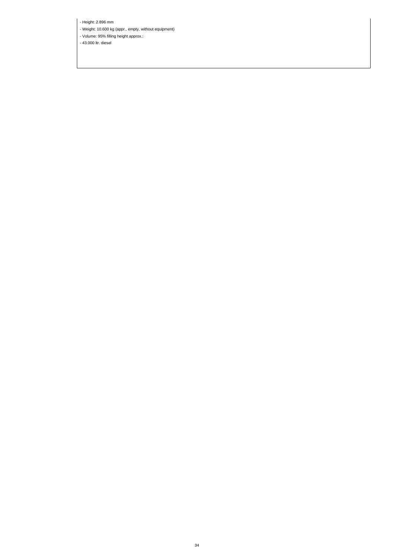- Height: 2.896 mm

- Weight: 10.600 kg (appr., empty, without equipment)

- Volume: 95% filling height approx.:

- 43.000 ltr. diesel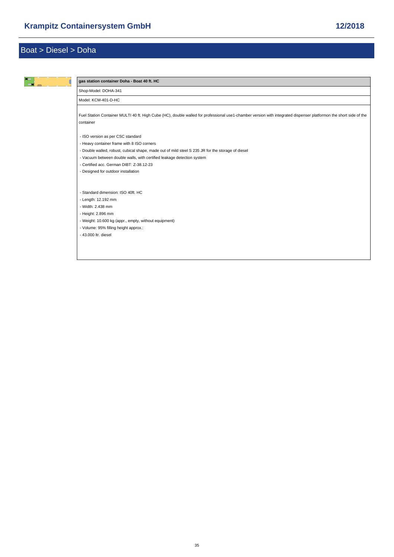<span id="page-34-0"></span>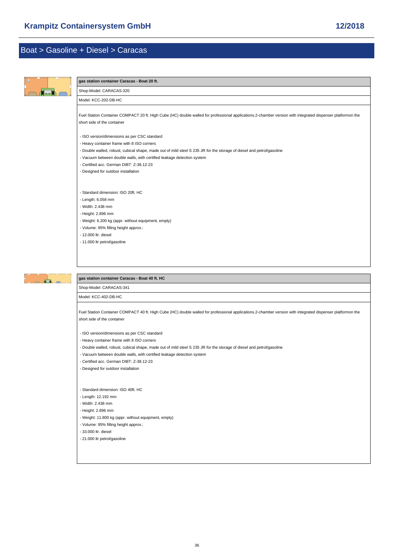<span id="page-35-0"></span>

| $\bullet$    | gas station container Caracas - Boat 20 ft.                                                                                                                                                                                                                                                                                                                                                                                                                                                                                                                                    |
|--------------|--------------------------------------------------------------------------------------------------------------------------------------------------------------------------------------------------------------------------------------------------------------------------------------------------------------------------------------------------------------------------------------------------------------------------------------------------------------------------------------------------------------------------------------------------------------------------------|
|              | Shop-Model: CARACAS-320                                                                                                                                                                                                                                                                                                                                                                                                                                                                                                                                                        |
|              | Model: KCC-202-DB-HC                                                                                                                                                                                                                                                                                                                                                                                                                                                                                                                                                           |
|              | Fuel Station Container COMPACT 20 ft. High Cube (HC) double walled for professional applications.2-chamber version with integrated dispenser platformon the<br>short side of the container                                                                                                                                                                                                                                                                                                                                                                                     |
|              | - ISO version/dimensions as per CSC standard<br>- Heavy container frame with 8 ISO corners<br>- Double walled, robust, cubical shape, made out of mild steel S 235 JR for the storage of diesel and petrol/gasoline<br>- Vacuum between double walls, with certified leakage detection system<br>- Certified acc. German DIBT: Z-38.12-23<br>- Designed for outdoor installation                                                                                                                                                                                               |
|              | - Standard dimension: ISO 20ft. HC<br>- Length: 6.058 mm<br>- Width: 2.438 mm<br>- Height: 2.896 mm<br>- Weight: 6.200 kg (appr. without equipment, empty)<br>- Volume: 95% filling height approx.:<br>- 12.000 ltr. diesel<br>- 11.000 ltr petrol/gasoline                                                                                                                                                                                                                                                                                                                    |
|              | gas station container Caracas - Boat 40 ft. HC                                                                                                                                                                                                                                                                                                                                                                                                                                                                                                                                 |
| $\sqrt{1-x}$ | Shop-Model: CARACAS-341                                                                                                                                                                                                                                                                                                                                                                                                                                                                                                                                                        |
|              | Model: KCC-402-DB-HC                                                                                                                                                                                                                                                                                                                                                                                                                                                                                                                                                           |
|              | Fuel Station Container COMPACT 40 ft. High Cube (HC) double walled for professional applications.2-chamber version with integrated dispenser platformon the<br>short side of the container<br>- ISO version/dimensions as per CSC standard<br>- Heavy container frame with 8 ISO corners<br>- Double walled, robust, cubical shape, made out of mild steel S 235 JR for the storage of diesel and petrol/gasoline<br>- Vacuum between double walls, with certified leakage detection system<br>- Certified acc. German DIBT: Z-38.12-23<br>- Designed for outdoor installation |
|              | - Standard dimension: ISO 40ft. HC<br>- Length: 12.192 mm<br>- Width: 2.438 mm<br>- Height: 2.896 mm<br>- Weight: 11.800 kg (appr. without equipment, empty)<br>- Volume: 95% filling height approx.:<br>- 33.000 ltr. diesel                                                                                                                                                                                                                                                                                                                                                  |

- 21.000 ltr petrol/gasoline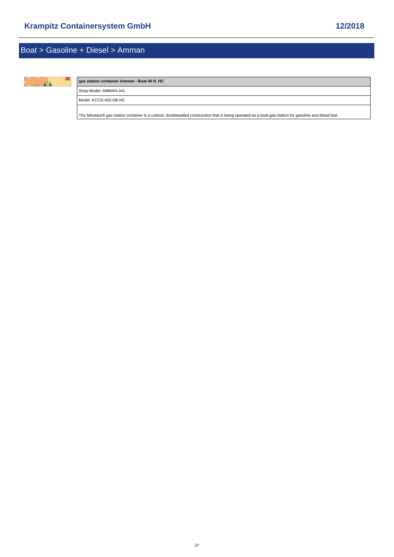<span id="page-36-0"></span>

### **gas station container Amman - Boat 40 ft. HC**

Shop-Model: AMMAN-341

Model: KCCG-402-DB-HC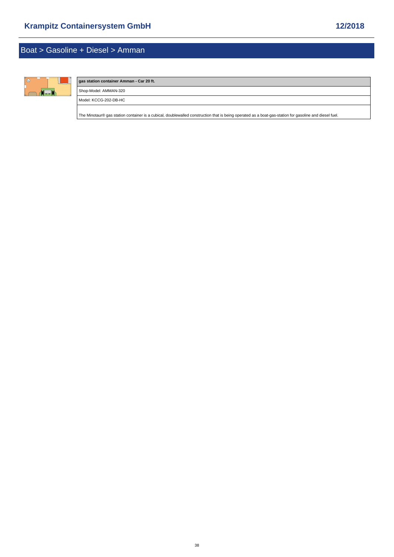# Boat > Gasoline + Diesel > Amman



# **gas station container Amman - Car 20 ft.** Shop-Model: AMMAN-320 Model: KCCG-202-DB-HC [The Minotaur® gas station container is a cubical, doublewalled construction that is being operated as a boat-gas-station for gasoline and diesel fuel.](https://www.mobile-gas-station.com/Boat/Gasoline-Diesel/Amman/gas-station-container-Amman-Car-20-ft::79.html)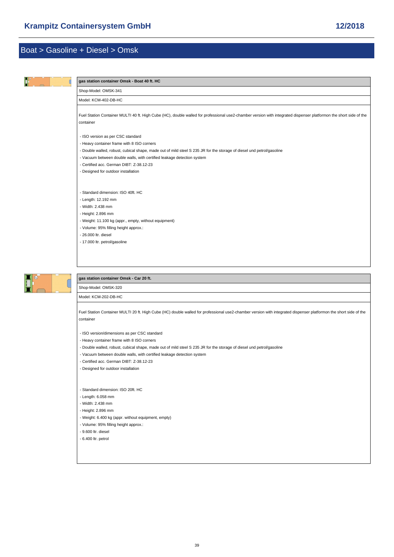<span id="page-38-0"></span>

[Fuel Station Container MULTI 20 ft. High Cube \(HC\) double walled for professional use2-chamber version with integrated dispenser platformon the short sid](https://www.mobile-gas-station.com/Boat/Gasoline-Diesel/Omsk/gas-station-container-Omsk-Car-20-ft::86.html)e of the container

- ISO version/dimensions as per CSC standard

- Heavy container frame with 8 ISO corners

- Double walled, robust, cubical shape, made out of mild steel S 235 JR for the storage of diesel und petrol/gasoline
- Vacuum between double walls, with certified leakage detection system
- Certified acc. German DIBT: Z-38.12-23
- Designed for outdoor installation

#### - Standard dimension: ISO 20ft. HC

- Length: 6.058 mm
- Width: 2.438 mm
- Height: 2.896 mm
- Weight: 6.400 kg (appr. without equipment, empty)
- Volume: 95% filling height approx.:
- 9.600 ltr. diesel
- 6.400 ltr. petrol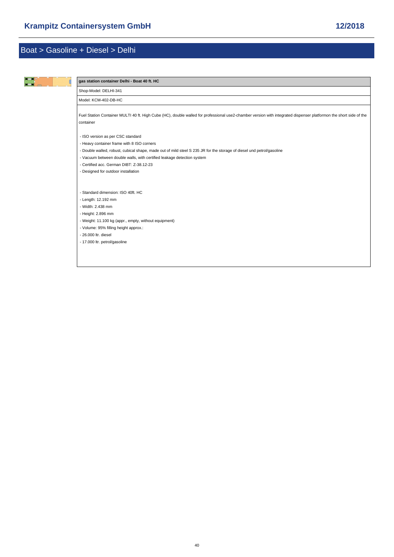$\mathsf{l}$ 

<span id="page-39-0"></span>

| gas station container Delhi - Boat 40 ft. HC                                                                                                                                    |
|---------------------------------------------------------------------------------------------------------------------------------------------------------------------------------|
|                                                                                                                                                                                 |
| Shop-Model: DELHI-341                                                                                                                                                           |
| Model: KCM-402-DB-HC                                                                                                                                                            |
| Fuel Station Container MULTI 40 ft. High Cube (HC), double walled for professional use2-chamber version with integrated dispenser platformon the short side of the<br>container |
| - ISO version as per CSC standard                                                                                                                                               |
| - Heavy container frame with 8 ISO corners                                                                                                                                      |
| - Double walled, robust, cubical shape, made out of mild steel S 235 JR for the storage of diesel und petrol/gasoline                                                           |
| - Vacuum between double walls, with certified leakage detection system                                                                                                          |
| - Certified acc. German DIBT: Z-38.12-23                                                                                                                                        |
| - Designed for outdoor installation                                                                                                                                             |
|                                                                                                                                                                                 |
| - Standard dimension: ISO 40ft. HC                                                                                                                                              |
| - Length: 12.192 mm                                                                                                                                                             |
| - Width: 2.438 mm                                                                                                                                                               |
| - Height: 2.896 mm                                                                                                                                                              |
| - Weight: 11.100 kg (appr., empty, without equipment)                                                                                                                           |
| - Volume: 95% filling height approx.:                                                                                                                                           |
| - 26,000 ltr. diesel                                                                                                                                                            |
| - 17.000 ltr. petrol/gasoline                                                                                                                                                   |
|                                                                                                                                                                                 |
|                                                                                                                                                                                 |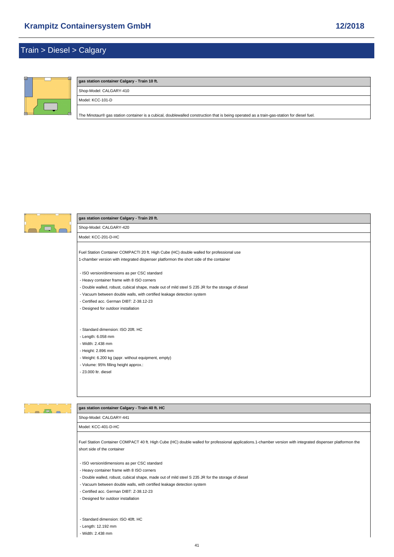### <span id="page-40-0"></span>Train > Diesel > Calgary



| gas station container Calgary - Train 10 ft.                                                                                               |  |
|--------------------------------------------------------------------------------------------------------------------------------------------|--|
| Shop-Model: CALGARY-410                                                                                                                    |  |
| Model: KCC-101-D                                                                                                                           |  |
| The Minotaur® gas station container is a cubical, doublewalled construction that is being operated as a train-gas-station for diesel fuel. |  |



#### **gas station container Calgary - Train 20 ft.**

Shop-Model: CALGARY-420 Model: KCC-201-D-HC

[Fuel Station Container COMPACTI 20 ft. High Cube \(HC\) double walled for professional use](https://www.mobile-gas-station.com/Train/Diesel/Calgary/gas-station-container-Calgary-Train-20-ft::103.html) 1-chamber version with integrated dispenser platformon the short side of the container

- ISO version/dimensions as per CSC standard

- Heavy container frame with 8 ISO corners
- Double walled, robust, cubical shape, made out of mild steel S 235 JR for the storage of diesel
- Vacuum between double walls, with certified leakage detection system
- Certified acc. German DIBT: Z-38.12-23
- Designed for outdoor installation

- Standard dimension: ISO 20ft. HC

- Length: 6.058 mm
- Width: 2.438 mm
- Height: 2.896 mm
- Weight: 6.200 kg (appr. without equipment, empty)
- Volume: 95% filling height approx.:

- 23.000 ltr. diesel

### $\overline{a}$

#### **gas station container Calgary - Train 40 ft. HC**

Shop-Model: CALGARY-441

Model: KCC-401-D-HC

[Fuel Station Container COMPACT 40 ft. High Cube \(HC\) double walled for professional applications.1-chamber version with integrated dispenser platformon](https://www.mobile-gas-station.com/Train/Diesel/Calgary/gas-station-container-Calgary-Train-40-ft-HC::105.html) the short side of the container

- ISO version/dimensions as per CSC standard
- Heavy container frame with 8 ISO corners
- Double walled, robust, cubical shape, made out of mild steel S 235 JR for the storage of diesel
- Vacuum between double walls, with certified leakage detection system
- Certified acc. German DIBT: Z-38.12-23
- Designed for outdoor installation
- Standard dimension: ISO 40ft. HC
- Length: 12.192 mm

- Width: 2.438 mm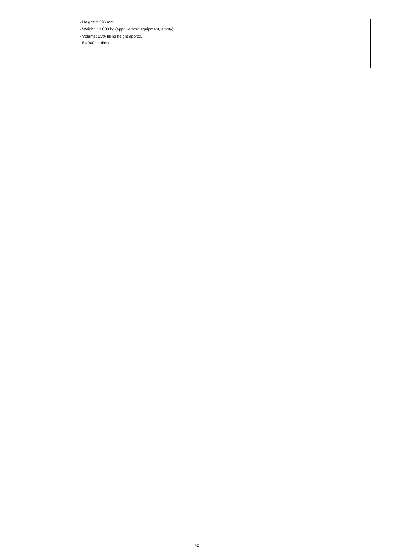- Height: 2.896 mm

- Weight: 11.800 kg (appr. without equipment, empty)

- Volume: 95% filling height approx.:

- 54.000 ltr. diesel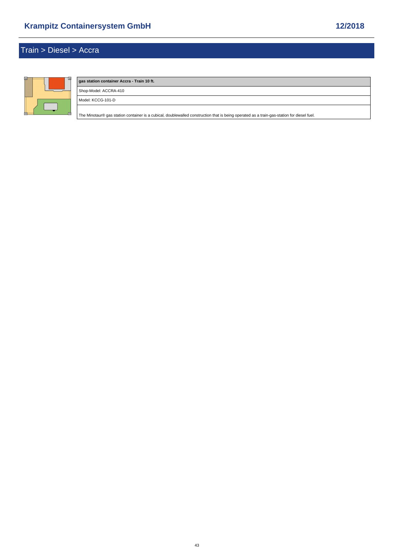<span id="page-42-0"></span>

# **gas station container Accra - Train 10 ft.** Shop-Model: ACCRA-410 Model: KCCG-101-D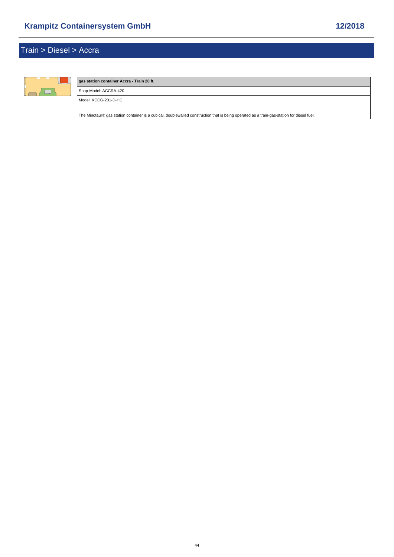# Train > Diesel > Accra



### **gas station container Accra - Train 20 ft.** Shop-Model: ACCRA-420 Model: KCCG-201-D-HC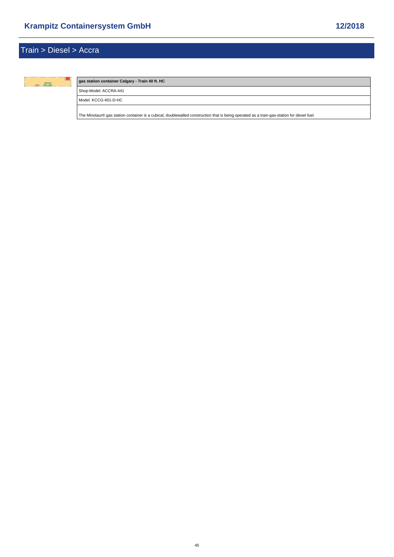

### **gas station container Calgary - Train 40 ft. HC**

Shop-Model: ACCRA-441

Model: KCCG-401-D-HC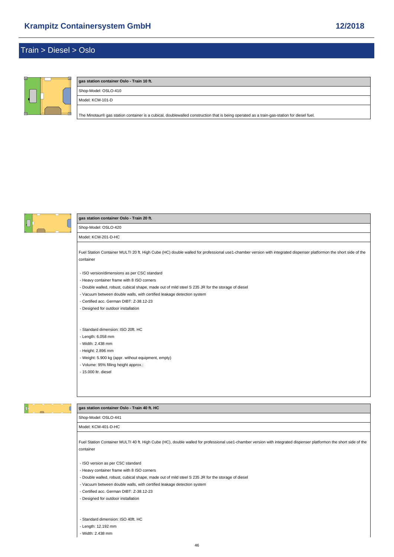### <span id="page-45-0"></span>Train > Diesel > Oslo



### **gas station container Oslo - Train 10 ft.**

Shop-Model: OSLO-410 Model: KCM-101-D

[The Minotaur® gas station container is a cubical, doublewalled construction that is being operated as a train-gas-station for diesel fuel.](https://www.mobile-gas-station.com/Train/Diesel/Oslo/gas-station-container-Oslo-Train-10-ft::110.html)



### **gas station container Oslo - Train 20 ft.**

Shop-Model: OSLO-420 Model: KCM-201-D-HC

[Fuel Station Container MULTI 20 ft. High Cube \(HC\) double walled for professional use1-chamber version with integrated dispenser platformon the short sid](https://www.mobile-gas-station.com/Train/Diesel/Oslo/gas-station-container-Oslo-Train-20-ft::111.html)e of the container

- ISO version/dimensions as per CSC standard

- Heavy container frame with 8 ISO corners
- Double walled, robust, cubical shape, made out of mild steel S 235 JR for the storage of diesel
- Vacuum between double walls, with certified leakage detection system
- Certified acc. German DIBT: Z-38.12-23
- Designed for outdoor installation

- Standard dimension: ISO 20ft. HC

- Length: 6.058 mm
- Width: 2.438 mm
- Height: 2.896 mm
- Weight: 5.900 kg (appr. without equipment, empty)
- Volume: 95% filling height approx.:
- 15.000 ltr. diesel



#### **gas station container Oslo - Train 40 ft. HC**

Shop-Model: OSLO-441

Model: KCM-401-D-HC

[Fuel Station Container MULTI 40 ft. High Cube \(HC\), double walled for professional use1-chamber version with integrated dispenser platformon the short sid](https://www.mobile-gas-station.com/Train/Diesel/Oslo/gas-station-container-Oslo-Train-40-ft-HC::113.html)e of the container

- ISO version as per CSC standard

- Heavy container frame with 8 ISO corners
- Double walled, robust, cubical shape, made out of mild steel S 235 JR for the storage of diesel
- Vacuum between double walls, with certified leakage detection system
- Certified acc. German DIBT: Z-38.12-23
- Designed for outdoor installation
- Standard dimension: ISO 40ft. HC
- Length: 12.192 mm
- Width: 2.438 mm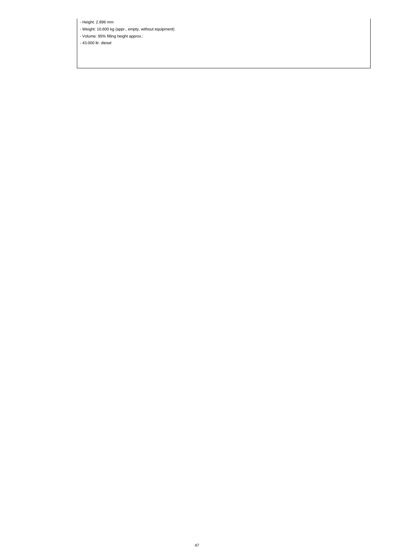- Height: 2.896 mm

- Weight: 10.600 kg (appr., empty, without equipment)

- Volume: 95% filling height approx.:

- 43.000 ltr. diesel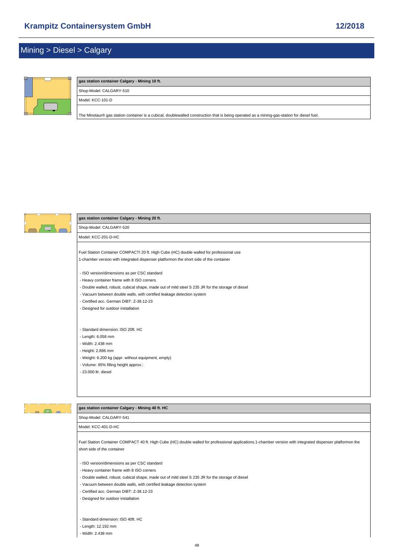### <span id="page-47-0"></span>Mining > Diesel > Calgary



### **gas station container Calgary - Mining 10 ft.** Shop-Model: CALGARY-510 Model: KCC-101-D

[The Minotaur® gas station container is a cubical, doublewalled construction that is being operated as a mining-gas-station for diesel fuel.](https://www.mobile-gas-station.com/Mining/Diesel/Calgary/gas-station-container-Calgary-Mining-10-ft::114.html)



#### **gas station container Calgary - Mining 20 ft.**

Shop-Model: CALGARY-520 Model: KCC-201-D-HC

[Fuel Station Container COMPACTI 20 ft. High Cube \(HC\) double walled for professional use](https://www.mobile-gas-station.com/Mining/Diesel/Calgary/gas-station-container-Calgary-Mining-20-ft::115.html) 1-chamber version with integrated dispenser platformon the short side of the container

- ISO version/dimensions as per CSC standard

- Heavy container frame with 8 ISO corners
- Double walled, robust, cubical shape, made out of mild steel S 235 JR for the storage of diesel
- Vacuum between double walls, with certified leakage detection system
- Certified acc. German DIBT: Z-38.12-23
- Designed for outdoor installation

- Standard dimension: ISO 20ft. HC

- Length: 6.058 mm
- Width: 2.438 mm
- Height: 2.896 mm
- Weight: 6.200 kg (appr. without equipment, empty)
- Volume: 95% filling height approx.:
- 23.000 ltr. diesel

## $\overline{a}$

#### **gas station container Calgary - Mining 40 ft. HC**

Shop-Model: CALGARY-541

Model: KCC-401-D-HC

[Fuel Station Container COMPACT 40 ft. High Cube \(HC\) double walled for professional applications.1-chamber version with integrated dispenser platformon](https://www.mobile-gas-station.com/Mining/Diesel/Calgary/gas-station-container-Calgary-Mining-40-ft-HC::117.html) the short side of the container

- ISO version/dimensions as per CSC standard
- Heavy container frame with 8 ISO corners
- Double walled, robust, cubical shape, made out of mild steel S 235 JR for the storage of diesel
- Vacuum between double walls, with certified leakage detection system
- Certified acc. German DIBT: Z-38.12-23
- Designed for outdoor installation
- Standard dimension: ISO 40ft. HC
- Length: 12.192 mm

- Width: 2.438 mm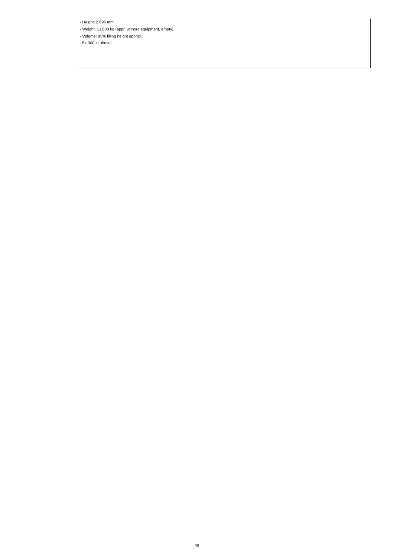- Height: 2.896 mm

- Weight: 11.800 kg (appr. without equipment, empty)

- Volume: 95% filling height approx.:

- 54.000 ltr. diesel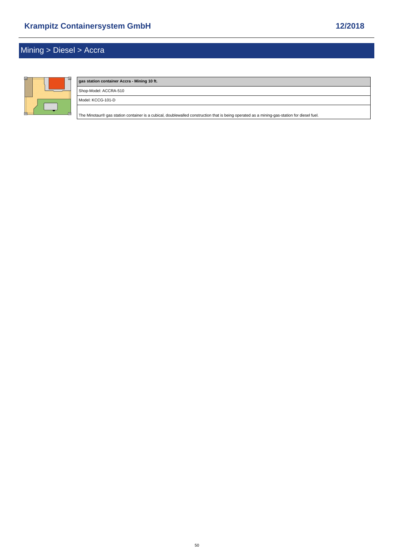# Mining > Diesel > Accra



# **gas station container Accra - Mining 10 ft.** Shop-Model: ACCRA-510 Model: KCCG-101-D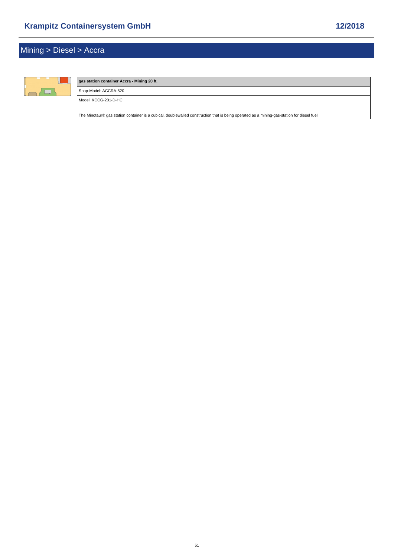# Mining > Diesel > Accra



# **gas station container Accra - Mining 20 ft.** Shop-Model: ACCRA-520 Model: KCCG-201-D-HC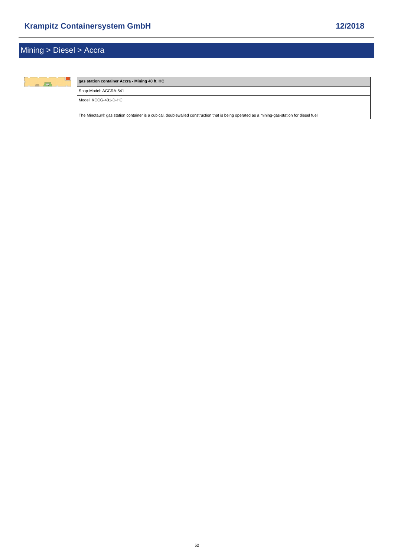

### **gas station container Accra - Mining 40 ft. HC**

Shop-Model: ACCRA-541

Model: KCCG-401-D-HC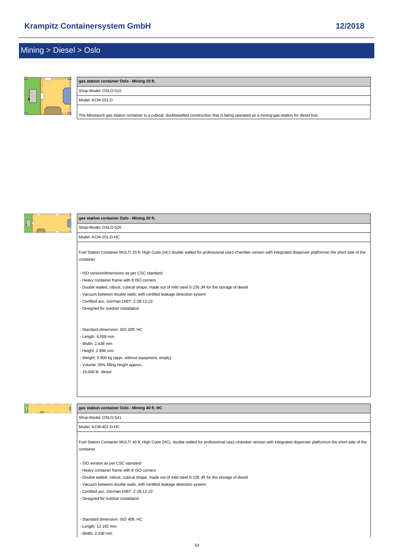### Mining > Diesel > Oslo



## **gas station container Oslo - Mining 10 ft.**

Shop-Model: OSLO-510 Model: KCM-101-D

[The Minotaur® gas station container is a cubical, doublewalled construction that is being operated as a mining-gas-station for diesel fuel.](https://www.mobile-gas-station.com/Mining/Diesel/Oslo/gas-station-container-Oslo-Mining-10-ft::122.html)



#### **gas station container Oslo - Mining 20 ft.**

Shop-Model: OSLO-520 Model: KCM-201-D-HC

[Fuel Station Container MULTI 20 ft. High Cube \(HC\) double walled for professional use1-chamber version with integrated dispenser platformon the short sid](https://www.mobile-gas-station.com/Mining/Diesel/Oslo/gas-station-container-Oslo-Mining-20-ft::123.html)e of the container

- ISO version/dimensions as per CSC standard

- Heavy container frame with 8 ISO corners
- Double walled, robust, cubical shape, made out of mild steel S 235 JR for the storage of diesel
- Vacuum between double walls, with certified leakage detection system
- Certified acc. German DIBT: Z-38.12-23
- Designed for outdoor installation

- Standard dimension: ISO 20ft. HC

- Length: 6.058 mm
- Width: 2.438 mm
- Height: 2.896 mm
- Weight: 5.900 kg (appr. without equipment, empty)
- Volume: 95% filling height approx.:
- 15.000 ltr. diesel



#### **gas station container Oslo - Mining 40 ft. HC**

Shop-Model: OSLO-541

Model: KCM-401-D-HC

[Fuel Station Container MULTI 40 ft. High Cube \(HC\), double walled for professional use1-chamber version with integrated dispenser platformon the short sid](https://www.mobile-gas-station.com/Mining/Diesel/Oslo/gas-station-container-Oslo-Mining-40-ft-HC::125.html)e of the container

- ISO version as per CSC standard

- Heavy container frame with 8 ISO corners
- Double walled, robust, cubical shape, made out of mild steel S 235 JR for the storage of diesel
- Vacuum between double walls, with certified leakage detection system
- Certified acc. German DIBT: Z-38.12-23
- Designed for outdoor installation
- Standard dimension: ISO 40ft. HC
- Length: 12.192 mm
- Width: 2.438 mm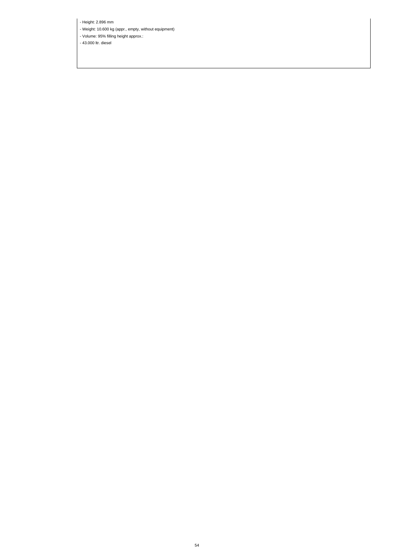- Height: 2.896 mm

- Weight: 10.600 kg (appr., empty, without equipment)

- Volume: 95% filling height approx.:

- 43.000 ltr. diesel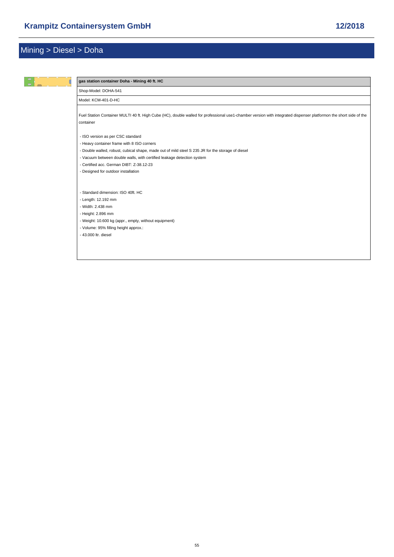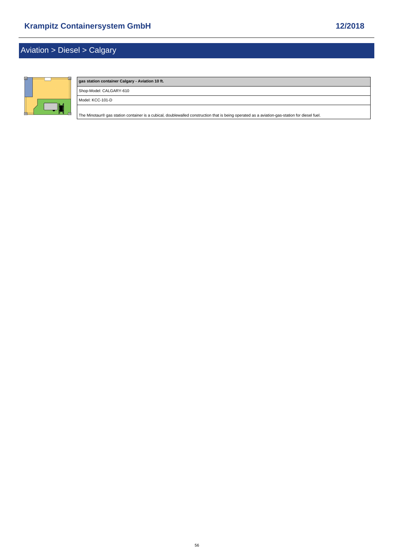# <span id="page-55-0"></span>Aviation > Diesel > Calgary



| gas station container Calgary - Aviation 10 ft. |  |
|-------------------------------------------------|--|
| Shop-Model: CALGARY-610                         |  |
| Model: KCC-101-D                                |  |
|                                                 |  |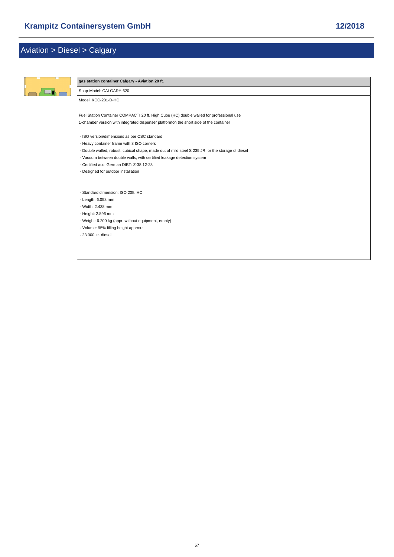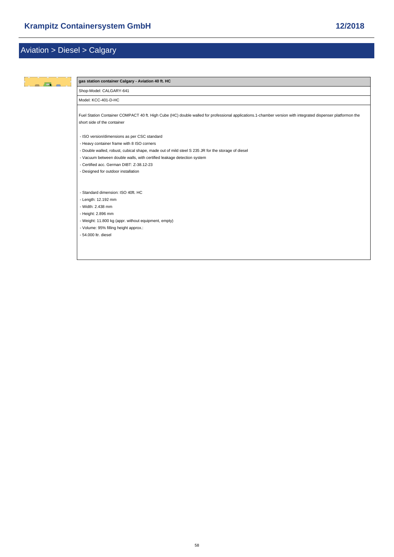| $\Box$ | gas station container Calgary - Aviation 40 ft. HC                                                                                                                                         |
|--------|--------------------------------------------------------------------------------------------------------------------------------------------------------------------------------------------|
|        | Shop-Model: CALGARY-641                                                                                                                                                                    |
|        | Model: KCC-401-D-HC                                                                                                                                                                        |
|        | Fuel Station Container COMPACT 40 ft. High Cube (HC) double walled for professional applications.1-chamber version with integrated dispenser platformon the<br>short side of the container |
|        | - ISO version/dimensions as per CSC standard                                                                                                                                               |
|        | - Heavy container frame with 8 ISO corners                                                                                                                                                 |
|        | - Double walled, robust, cubical shape, made out of mild steel S 235 JR for the storage of diesel                                                                                          |
|        | - Vacuum between double walls, with certified leakage detection system                                                                                                                     |
|        | - Certified acc. German DIBT: Z-38.12-23                                                                                                                                                   |
|        | - Designed for outdoor installation                                                                                                                                                        |
|        |                                                                                                                                                                                            |
|        | - Standard dimension: ISO 40ft. HC                                                                                                                                                         |
|        | - Length: 12.192 mm                                                                                                                                                                        |
|        | - Width: 2.438 mm                                                                                                                                                                          |
|        | - Height: 2.896 mm                                                                                                                                                                         |
|        | - Weight: 11.800 kg (appr. without equipment, empty)                                                                                                                                       |
|        | - Volume: 95% filling height approx.:                                                                                                                                                      |
|        | - 54,000 ltr. diesel                                                                                                                                                                       |
|        |                                                                                                                                                                                            |
|        |                                                                                                                                                                                            |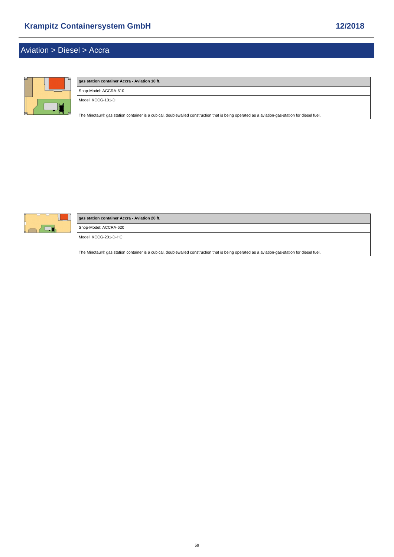# <span id="page-58-0"></span>Aviation > Diesel > Accra



| gas station container Accra - Aviation 10 ft.                                                                                                 |
|-----------------------------------------------------------------------------------------------------------------------------------------------|
| Shop-Model: ACCRA-610                                                                                                                         |
| Model: KCCG-101-D                                                                                                                             |
| The Minotaur® gas station container is a cubical, doublewalled construction that is being operated as a aviation-gas-station for diesel fuel. |



| gas station container Accra - Aviation 20 ft.                                                                                                 |  |  |
|-----------------------------------------------------------------------------------------------------------------------------------------------|--|--|
| Shop-Model: ACCRA-620                                                                                                                         |  |  |
| Model: KCCG-201-D-HC                                                                                                                          |  |  |
| The Minotaur® gas station container is a cubical, doublewalled construction that is being operated as a aviation-gas-station for diesel fuel. |  |  |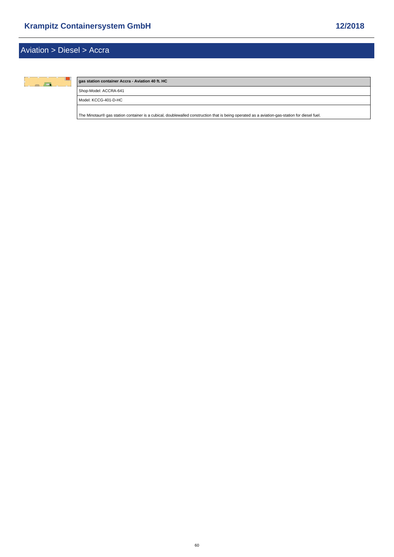

### **gas station container Accra - Aviation 40 ft. HC**

Shop-Model: ACCRA-641

Model: KCCG-401-D-HC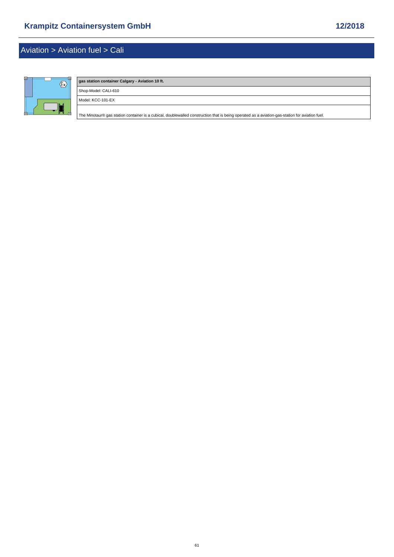## <span id="page-60-0"></span>Aviation > Aviation fuel > Cali



# **gas station container Calgary - Aviation 10 ft.** Shop-Model: CALI-610 Model: KCC-101-EX [The Minotaur® gas station container is a cubical, doublewalled construction that is being operated as a aviation-gas-station for aviation fuel.](https://www.mobile-gas-station.com/Aviation/Aviation-fuel/Cali/gas-station-container-Calgary-Aviation-10-ft::137.html)

61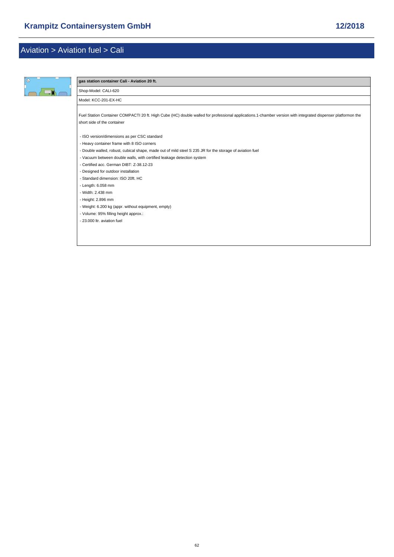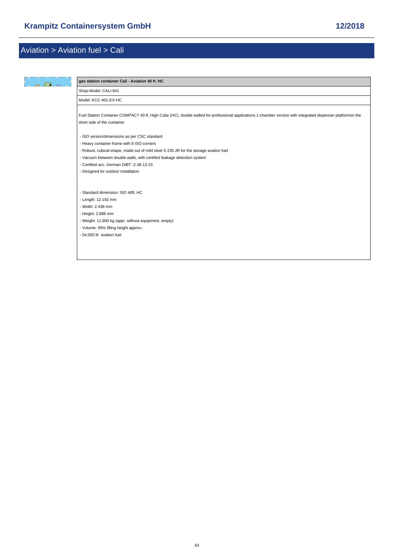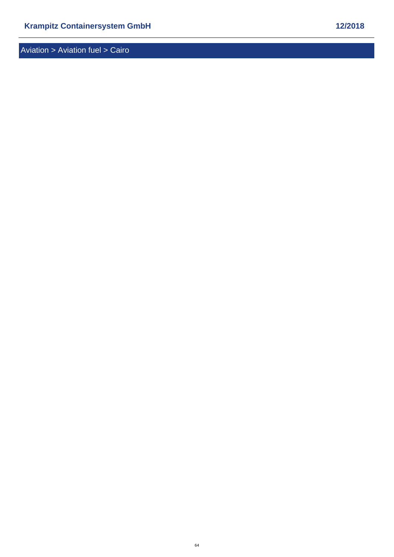<span id="page-63-0"></span>Aviation > Aviation fuel > Cairo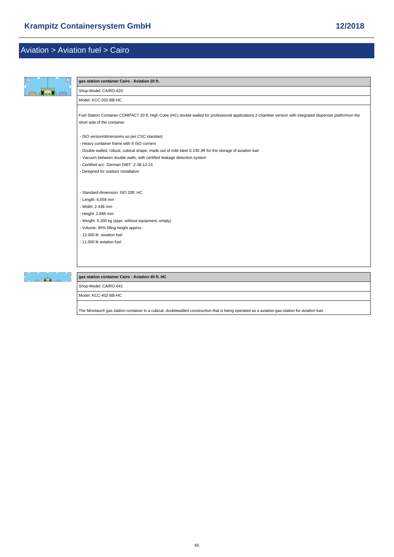| $\mathbb{R}$<br>$\circledast$ | gas station container Cairo - Aviation 20 ft.                                                                                                               |
|-------------------------------|-------------------------------------------------------------------------------------------------------------------------------------------------------------|
|                               | Shop-Model: CAIRO-620                                                                                                                                       |
|                               | Model: KCC-202-BB-HC                                                                                                                                        |
|                               |                                                                                                                                                             |
|                               | Fuel Station Container COMPACT 20 ft. High Cube (HC) double walled for professional applications.2-chamber version with integrated dispenser platformon the |
|                               | short side of the container                                                                                                                                 |
|                               | - ISO version/dimensions as per CSC standard                                                                                                                |
|                               | - Heavy container frame with 8 ISO corners                                                                                                                  |
|                               | - Double walled, robust, cubical shape, made out of mild steel S 235 JR for the storage of aviation fuel                                                    |
|                               | - Vacuum between double walls, with certified leakage detection system                                                                                      |
|                               | - Certified acc. German DIBT: Z-38.12-23                                                                                                                    |
|                               | - Designed for outdoor installation                                                                                                                         |
|                               |                                                                                                                                                             |
|                               | - Standard dimension: ISO 20ft. HC                                                                                                                          |
|                               | - Length: 6.058 mm                                                                                                                                          |
|                               | - Width: 2.438 mm                                                                                                                                           |
|                               | - Height: 2.896 mm                                                                                                                                          |
|                               | - Weight: 6.200 kg (appr. without equipment, empty)<br>- Volume: 95% filling height approx.:                                                                |
|                               | - 12.000 ltr. aviation fuel                                                                                                                                 |
|                               | - 11.000 ltr aviation fuel                                                                                                                                  |
|                               |                                                                                                                                                             |
|                               |                                                                                                                                                             |
|                               |                                                                                                                                                             |
|                               |                                                                                                                                                             |

**gas station container Cairo - Aviation 40 ft. HC**

Shop-Model: CAIRO-641

 $\blacksquare$ 

Model: KCC-402-BB-HC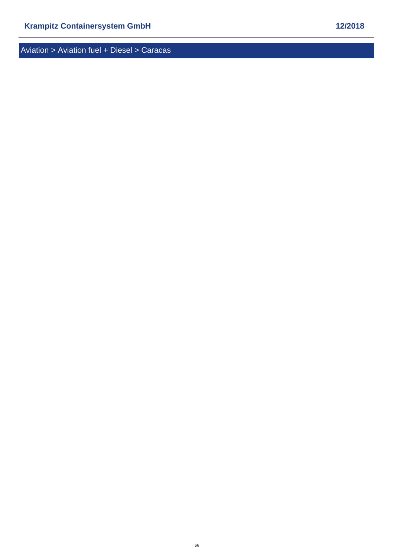<span id="page-65-0"></span>Aviation > Aviation fuel + Diesel > Caracas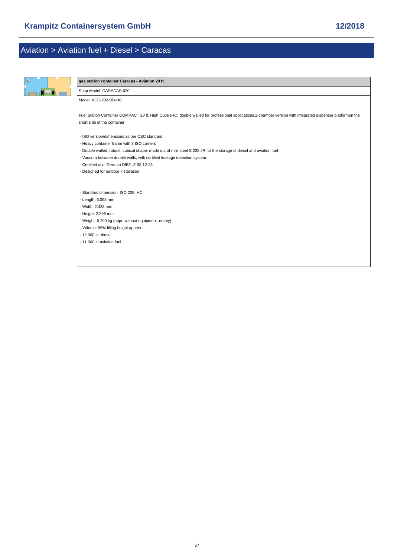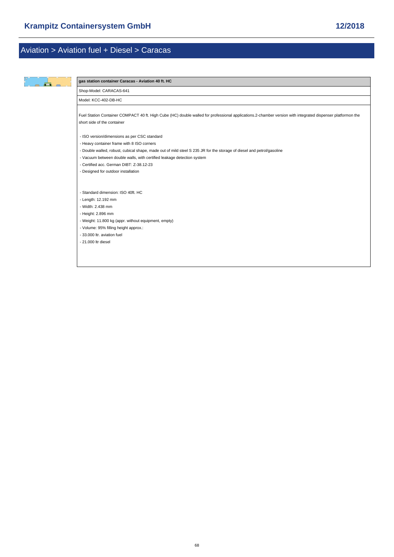| gas station container Caracas - Aviation 40 ft. HC                                                                                                                                         |
|--------------------------------------------------------------------------------------------------------------------------------------------------------------------------------------------|
| Shop-Model: CARACAS-641                                                                                                                                                                    |
| Model: KCC-402-DB-HC                                                                                                                                                                       |
| Fuel Station Container COMPACT 40 ft. High Cube (HC) double walled for professional applications.2-chamber version with integrated dispenser platformon the<br>short side of the container |
| - ISO version/dimensions as per CSC standard                                                                                                                                               |
| - Heavy container frame with 8 ISO corners                                                                                                                                                 |
| - Double walled, robust, cubical shape, made out of mild steel S 235 JR for the storage of diesel and petrol/gasoline                                                                      |
| - Vacuum between double walls, with certified leakage detection system                                                                                                                     |
| - Certified acc. German DIBT: Z-38.12-23                                                                                                                                                   |
| - Designed for outdoor installation                                                                                                                                                        |
|                                                                                                                                                                                            |
| - Standard dimension: ISO 40ft. HC                                                                                                                                                         |
| - Length: 12.192 mm                                                                                                                                                                        |
| - Width: 2.438 mm                                                                                                                                                                          |
| - Height: 2.896 mm                                                                                                                                                                         |
| - Weight: 11.800 kg (appr. without equipment, empty)                                                                                                                                       |
| - Volume: 95% filling height approx.:                                                                                                                                                      |
| - 33,000 ltr. aviation fuel                                                                                                                                                                |
| - 21,000 ltr diesel                                                                                                                                                                        |
|                                                                                                                                                                                            |
|                                                                                                                                                                                            |
|                                                                                                                                                                                            |